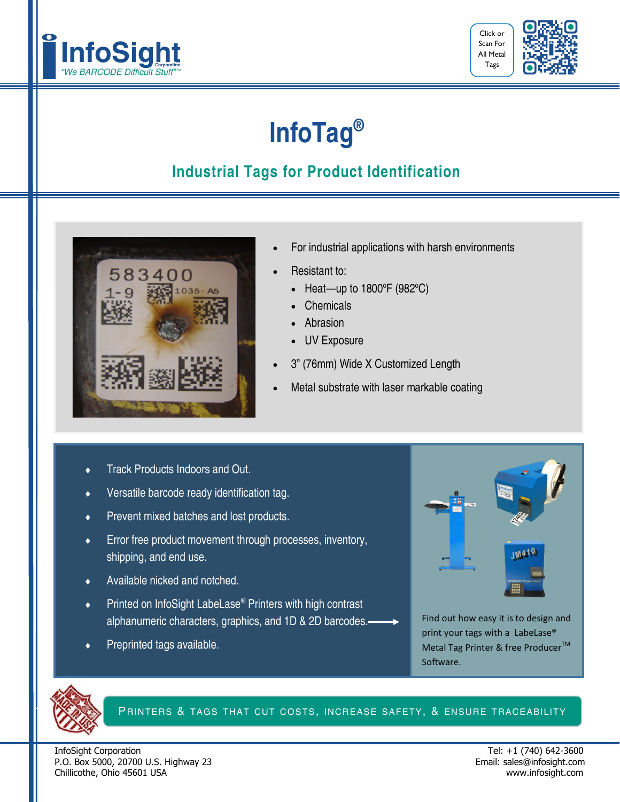



## **InfoTag®**

## **Industrial Tags for Product Identification**



- For industrial applications with harsh environments
- Resistant to:
	- Heat—up to  $1800^{\circ}F(982^{\circ}C)$
	- Chemicals
	- Abrasion
	- UV Exposure
- 3" (76mm) Wide X Customized Length
- Metal substrate with laser markable coating
- Track Products Indoors and Out.
- Versatile barcode ready identification tag.
- ◆ Prevent mixed batches and lost products.
- **Error free product movement through processes, inventory,** shipping, and end use.
- Available nicked and notched.
- Printed on InfoSight LabeLase® Printers with high contrast alphanumeric characters, graphics, and 1D & 2D barcodes.
- Preprinted tags available.



Find out how easy it is to design and print your tags with a LabeLase® Metal Tag Printer & free Producer<sup>™</sup> Software.



PRINTERS & TAGS THAT CUT COSTS, INCREASE SAFETY, & ENSURE TRACEABILITY